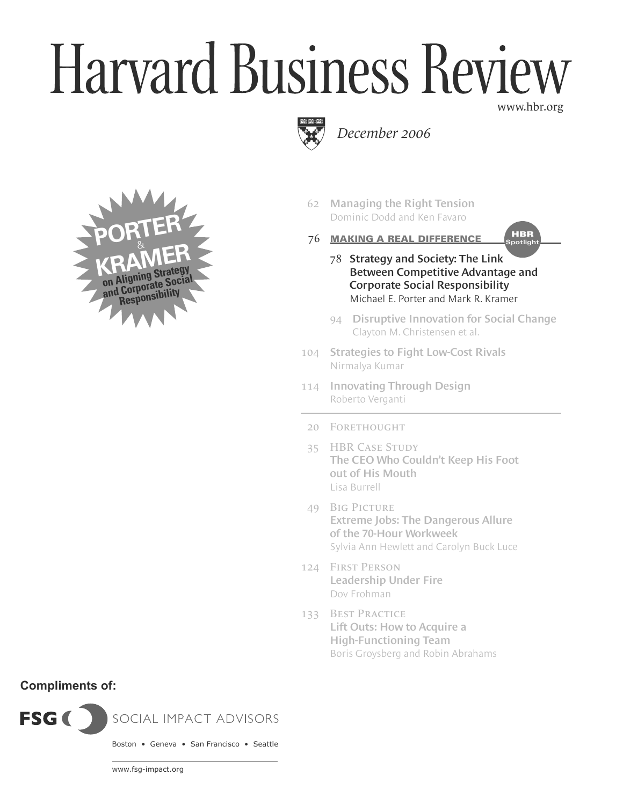# **Harvard Business Review** www.hbr.org



*December 2006* 

- 62 **Managing the Right Tension** Dominic Dodd and Ken Favaro
- - 78 **Strategy and Society: The Link Between Competitive Advantage and Corporate Social Responsibility** Michael E. Porter and Mark R. Kramer
	- 94 **Disruptive Innovation for Social Change** Clayton M. Christensen et al.
- 104 **Strategies to Fight Low-Cost Rivals** Nirmalya Kumar
- 114 **Innovating Through Design** Roberto Verganti
- 20 FORETHOUGHT
- 35 HBR Case Study **The CEO Who Couldn't Keep His Foot out of His Mouth** Lisa Burrell
- 49 Big Picture **Extreme Jobs: The Dangerous Allure of the 70-Hour Workweek**  Sylvia Ann Hewlett and Carolyn Buck Luce
- 124 First Person **Leadership Under Fire**  Dov Frohman
- 133 Best Practice **Lift Outs: How to Acquire a High-Functioning Team**  Boris Groysberg and Robin Abrahams

# **PORTER**<br> **PORTER**<br> **PORTER**<br> **Spotlight**<br> **Spotlight**<br> **Spotlight**<br> **Spotlight KRAMER on Aligning Strategy and Corporate Social Responsibility**





www.fsg-impact.org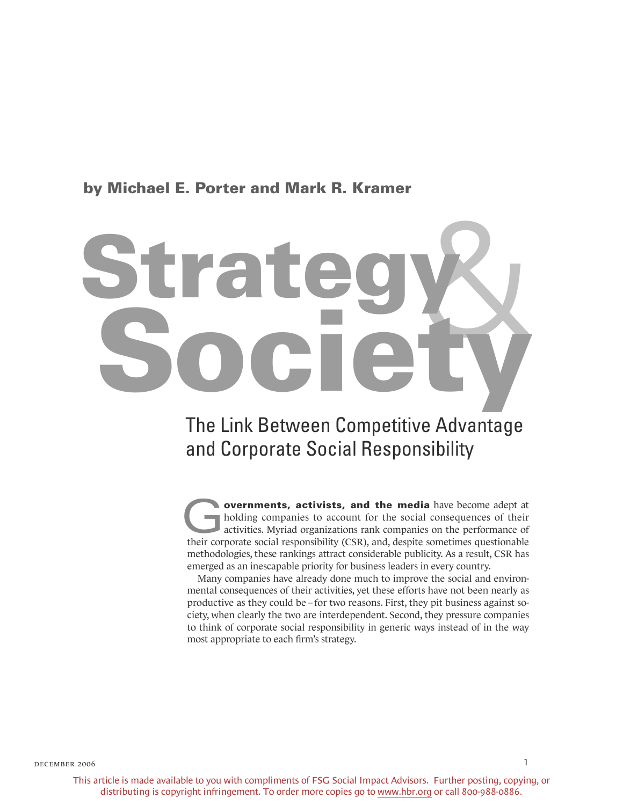## **by Michael E. Porter and Mark R. Kramer**

# **Strategy Society**&

# The Link Between Competitive Advantage and Corporate Social Responsibility

**overnments, activists, and the media** have become adept at holding companies to account for the social consequences of their activities. Myriad organizations rank companies on the performance of their corporate social responsibility (CSR), and, despite sometimes questionable methodologies, these rankings attract considerable publicity. As a result, CSR has emerged as an inescapable priority for business leaders in every country. G

Many companies have already done much to improve the social and environmental consequences of their activities, yet these efforts have not been nearly as productive as they could be – for two reasons. First, they pit business against society, when clearly the two are interdependent. Second, they pressure companies to think of corporate social responsibility in generic ways instead of in the way most appropriate to each firm's strategy.

december 2006 1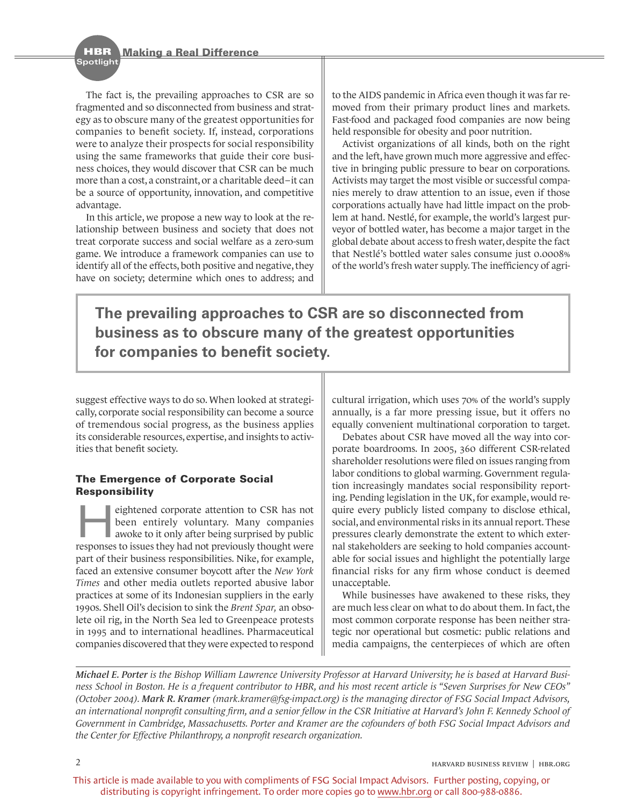The fact is, the prevailing approaches to CSR are so fragmented and so disconnected from business and strategy as to obscure many of the greatest opportunities for companies to benefit society. If, instead, corporations were to analyze their prospects for social responsibility using the same frameworks that guide their core business choices, they would discover that CSR can be much more than a cost, a constraint, or a charitable deed–it can be a source of opportunity, innovation, and competitive advantage.

In this article, we propose a new way to look at the relationship between business and society that does not treat corporate success and social welfare as a zero-sum game. We introduce a framework companies can use to identify all of the effects, both positive and negative, they have on society; determine which ones to address; and to the AIDS pandemic in Africa even though it was far removed from their primary product lines and markets. Fast-food and packaged food companies are now being held responsible for obesity and poor nutrition.

Activist organizations of all kinds, both on the right and the left, have grown much more aggressive and effective in bringing public pressure to bear on corporations. Activists may target the most visible or successful companies merely to draw attention to an issue, even if those corporations actually have had little impact on the problem at hand. Nestlé, for example, the world's largest purveyor of bottled water, has become a major target in the global debate about access to fresh water, despite the fact that Nestlé's bottled water sales consume just 0.0008% of the world's fresh water supply. The inefficiency of agri-

**The prevailing approaches to CSR are so disconnected from business as to obscure many of the greatest opportunities for companies to benefit society.**

suggest effective ways to do so. When looked at strategically, corporate social responsibility can become a source of tremendous social progress, as the business applies its considerable resources, expertise, and insights to activities that benefit society.

#### **The Emergence of Corporate Social Responsibility**

eightened corporate attention to CSR has not<br>been entirely voluntary. Many companies<br>awoke to it only after being surprised by public<br>many constrained by the distribution of the part was the surface been entirely voluntary. Many companies awoke to it only after being surprised by public responses to issues they had not previously thought were part of their business responsibilities. Nike, for example, faced an extensive consumer boycott after the *New York Times* and other media outlets reported abusive labor practices at some of its Indonesian suppliers in the early 1990s. Shell Oil's decision to sink the *Brent Spar,* an obsolete oil rig, in the North Sea led to Greenpeace protests in 1995 and to international headlines. Pharmaceutical companies discovered that they were expected to respond cultural irrigation, which uses 70% of the world's supply annually, is a far more pressing issue, but it offers no equally convenient multinational corporation to target.

Debates about CSR have moved all the way into corporate boardrooms. In 2005, 360 different CSR-related shareholder resolutions were filed on issues ranging from labor conditions to global warming. Government regulation increasingly mandates social responsibility reporting. Pending legislation in the UK, for example, would require every publicly listed company to disclose ethical, social, and environmental risks in its annual report. These pressures clearly demonstrate the extent to which external stakeholders are seeking to hold companies accountable for social issues and highlight the potentially large financial risks for any firm whose conduct is deemed unacceptable.

While businesses have awakened to these risks, they are much less clear on what to do about them. In fact, the most common corporate response has been neither strategic nor operational but cosmetic: public relations and media campaigns, the centerpieces of which are often

*Michael E. Porter is the Bishop William Lawrence University Professor at Harvard University; he is based at Harvard Business School in Boston. He is a frequent contributor to HBR, and his most recent article is "Seven Surprises for New CEOs" (October 2004). Mark R. Kramer (mark.kramer@fsg-impact.org) is the managing director of FSG Social Impact Advisors, an international nonprofit consulting firm, and a senior fellow in the CSR Initiative at Harvard's John F. Kennedy School of Government in Cambridge, Massachusetts. Porter and Kramer are the cofounders of both FSG Social Impact Advisors and the Center for Effective Philanthropy, a nonprofit research organization.*

2 harvard business review | hbr.org harvard business review | hbr.org harvard business review | hbr.org harvard business review | hbr.org harvard business review | hbr.org harvard business review | hbr.org harvard business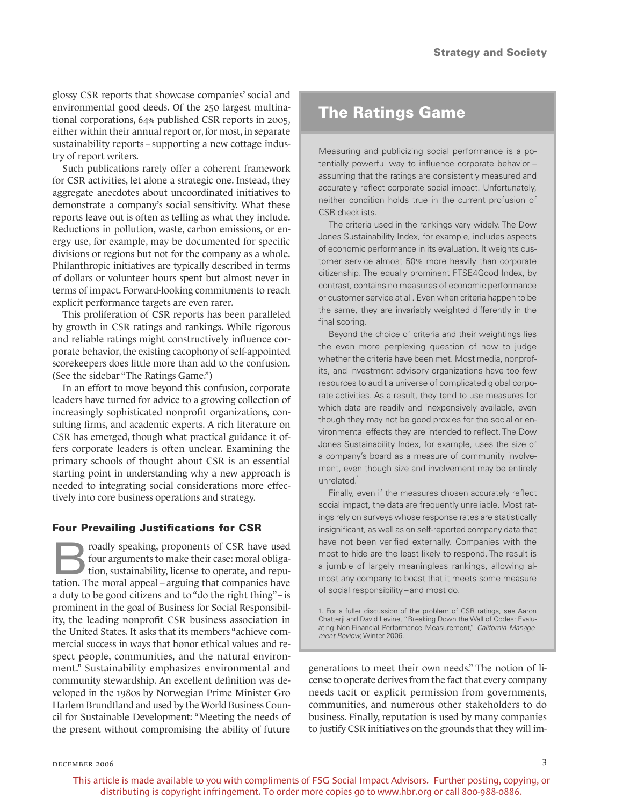glossy CSR reports that showcase companies' social and environmental good deeds. Of the 250 largest multinational corporations, 64% published CSR reports in 2005, either within their annual report or, for most, in separate sustainability reports – supporting a new cottage industry of report writers.

Such publications rarely offer a coherent framework for CSR activities, let alone a strategic one. Instead, they aggregate anecdotes about uncoordinated initiatives to demonstrate a company's social sensitivity. What these reports leave out is often as telling as what they include. Reductions in pollution, waste, carbon emissions, or energy use, for example, may be documented for specific divisions or regions but not for the company as a whole. Philanthropic initiatives are typically described in terms of dollars or volunteer hours spent but almost never in terms of impact. Forward-looking commitments to reach explicit performance targets are even rarer.

This proliferation of CSR reports has been paralleled by growth in CSR ratings and rankings. While rigorous and reliable ratings might constructively influence corporate behavior, the existing cacophony of self-appointed scorekeepers does little more than add to the confusion. (See the sidebar "The Ratings Game.")

In an effort to move beyond this confusion, corporate leaders have turned for advice to a growing collection of increasingly sophisticated nonprofit organizations, consulting firms, and academic experts. A rich literature on CSR has emerged, though what practical guidance it offers corporate leaders is often unclear. Examining the primary schools of thought about CSR is an essential starting point in understanding why a new approach is needed to integrating social considerations more effectively into core business operations and strategy.

#### **Four Prevailing Justifications for CSR**

**Broadly speaking, proponents of CSR have used<br>four arguments to make their case: moral obliga-<br>tion, sustainability, license to operate, and reputation. The monal numeral** four arguments to make their case: moral obligation, sustainability, license to operate, and reputation. The moral appeal – arguing that companies have a duty to be good citizens and to "do the right thing"– is prominent in the goal of Business for Social Responsibility, the leading nonprofit CSR business association in the United States. It asks that its members "achieve commercial success in ways that honor ethical values and respect people, communities, and the natural environment." Sustainability emphasizes environmental and community stewardship. An excellent definition was developed in the 1980s by Norwegian Prime Minister Gro Harlem Brundtland and used by the World Business Council for Sustainable Development: "Meeting the needs of the present without compromising the ability of future

# **The Ratings Game**

Measuring and publicizing social performance is a potentially powerful way to influence corporate behavior – assuming that the ratings are consistently measured and accurately reflect corporate social impact. Unfortunately, neither condition holds true in the current profusion of CSR checklists.

The criteria used in the rankings vary widely. The Dow Jones Sustainability Index, for example, includes aspects of economic performance in its evaluation. It weights customer service almost 50% more heavily than corporate citizenship. The equally prominent FTSE4Good Index, by contrast, contains no measures of economic performance or customer service at all. Even when criteria happen to be the same, they are invariably weighted differently in the final scoring.

Beyond the choice of criteria and their weightings lies the even more perplexing question of how to judge whether the criteria have been met. Most media, nonprofits, and investment advisory organizations have too few resources to audit a universe of complicated global corporate activities. As a result, they tend to use measures for which data are readily and inexpensively available, even though they may not be good proxies for the social or environmental effects they are intended to reflect. The Dow Jones Sustainability Index, for example, uses the size of a company's board as a measure of community involvement, even though size and involvement may be entirely unrelated.<sup>1</sup>

Finally, even if the measures chosen accurately reflect social impact, the data are frequently unreliable. Most ratings rely on surveys whose response rates are statistically insignificant, as well as on self-reported company data that have not been verified externally. Companies with the most to hide are the least likely to respond. The result is a jumble of largely meaningless rankings, allowing almost any company to boast that it meets some measure of social responsibility – and most do.

1. For a fuller discussion of the problem of CSR ratings, see Aaron Chatterji and David Levine, "Breaking Down the Wall of Codes: Evaluating Non-Financial Performance Measurement," California Management Review, Winter 2006.

generations to meet their own needs." The notion of license to operate derives from the fact that every company needs tacit or explicit permission from governments, communities, and numerous other stakeholders to do business. Finally, reputation is used by many companies to justify CSR initiatives on the grounds that they will im-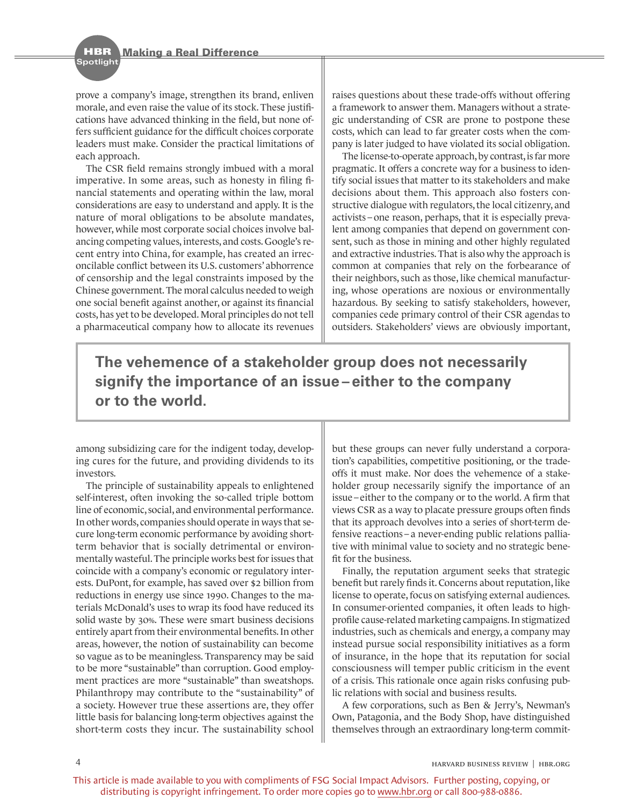prove a company's image, strengthen its brand, enliven morale, and even raise the value of its stock. These justifications have advanced thinking in the field, but none offers sufficient guidance for the difficult choices corporate leaders must make. Consider the practical limitations of each approach.

The CSR field remains strongly imbued with a moral imperative. In some areas, such as honesty in filing financial statements and operating within the law, moral considerations are easy to understand and apply. It is the nature of moral obligations to be absolute mandates, however, while most corporate social choices involve balancing competing values, interests, and costs. Google's recent entry into China, for example, has created an irreconcilable conflict between its U.S. customers' abhorrence of censorship and the legal constraints imposed by the Chinese government. The moral calculus needed to weigh one social benefit against another, or against its financial costs, has yet to be developed. Moral principles do not tell a pharmaceutical company how to allocate its revenues

raises questions about these trade-offs without offering a framework to answer them. Managers without a strategic understanding of CSR are prone to postpone these costs, which can lead to far greater costs when the company is later judged to have violated its social obligation.

The license-to-operate approach, by contrast, is far more pragmatic. It offers a concrete way for a business to identify social issues that matter to its stakeholders and make decisions about them. This approach also fosters constructive dialogue with regulators, the local citizenry, and activists – one reason, perhaps, that it is especially prevalent among companies that depend on government consent, such as those in mining and other highly regulated and extractive industries. That is also why the approach is common at companies that rely on the forbearance of their neighbors, such as those, like chemical manufacturing, whose operations are noxious or environmentally hazardous. By seeking to satisfy stakeholders, however, companies cede primary control of their CSR agendas to outsiders. Stakeholders' views are obviously important,

# **The vehemence of a stakeholder group does not necessarily signify the importance of an issue – either to the company or to the world.**

among subsidizing care for the indigent today, developing cures for the future, and providing dividends to its investors.

The principle of sustainability appeals to enlightened self-interest, often invoking the so-called triple bottom line of economic, social, and environmental performance. In other words, companies should operate in ways that secure long-term economic performance by avoiding shortterm behavior that is socially detrimental or environmentally wasteful. The principle works best for issues that coincide with a company's economic or regulatory interests. DuPont, for example, has saved over \$2 billion from reductions in energy use since 1990. Changes to the materials McDonald's uses to wrap its food have reduced its solid waste by 30%. These were smart business decisions entirely apart from their environmental benefits. In other areas, however, the notion of sustainability can become so vague as to be meaningless. Transparency may be said to be more "sustainable" than corruption. Good employment practices are more "sustainable" than sweatshops. Philanthropy may contribute to the "sustainability" of a society. However true these assertions are, they offer little basis for balancing long-term objectives against the short-term costs they incur. The sustainability school but these groups can never fully understand a corporation's capabilities, competitive positioning, or the tradeoffs it must make. Nor does the vehemence of a stakeholder group necessarily signify the importance of an issue – either to the company or to the world. A firm that views CSR as a way to placate pressure groups often finds that its approach devolves into a series of short-term defensive reactions – a never-ending public relations palliative with minimal value to society and no strategic benefit for the business.

Finally, the reputation argument seeks that strategic benefit but rarely finds it. Concerns about reputation, like license to operate, focus on satisfying external audiences. In consumer-oriented companies, it often leads to highprofile cause-related marketing campaigns. In stigmatized industries, such as chemicals and energy, a company may instead pursue social responsibility initiatives as a form of insurance, in the hope that its reputation for social consciousness will temper public criticism in the event of a crisis. This rationale once again risks confusing public relations with social and business results.

A few corporations, such as Ben & Jerry's, Newman's Own, Patagonia, and the Body Shop, have distinguished themselves through an extraordinary long-term commit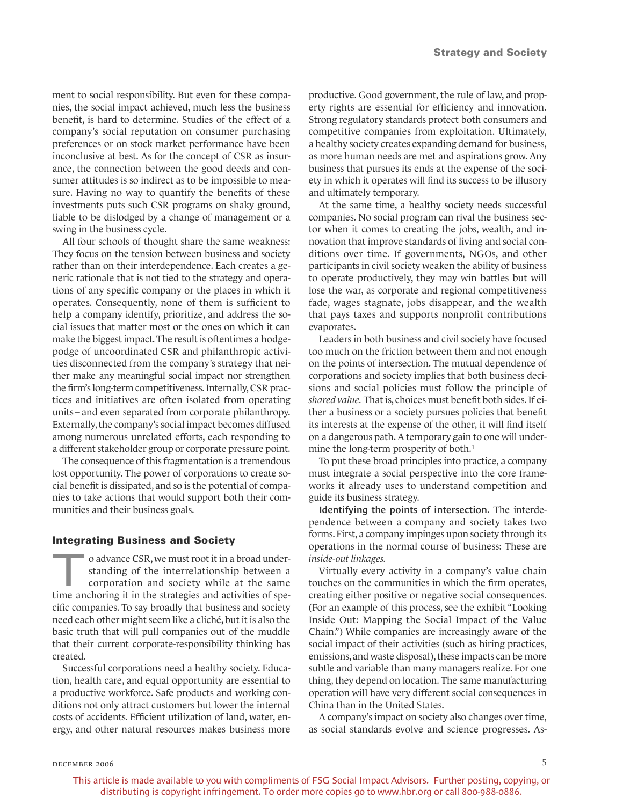ment to social responsibility. But even for these companies, the social impact achieved, much less the business benefit, is hard to determine. Studies of the effect of a company's social reputation on consumer purchasing preferences or on stock market performance have been inconclusive at best. As for the concept of CSR as insurance, the connection between the good deeds and consumer attitudes is so indirect as to be impossible to measure. Having no way to quantify the benefits of these investments puts such CSR programs on shaky ground, liable to be dislodged by a change of management or a swing in the business cycle.

All four schools of thought share the same weakness: They focus on the tension between business and society rather than on their interdependence. Each creates a generic rationale that is not tied to the strategy and operations of any specific company or the places in which it operates. Consequently, none of them is sufficient to help a company identify, prioritize, and address the social issues that matter most or the ones on which it can make the biggest impact. The result is oftentimes a hodgepodge of uncoordinated CSR and philanthropic activities disconnected from the company's strategy that neither make any meaningful social impact nor strengthen the firm's long-term competitiveness. Internally, CSR practices and initiatives are often isolated from operating units – and even separated from corporate philanthropy. Externally, the company's social impact becomes diffused among numerous unrelated efforts, each responding to a different stakeholder group or corporate pressure point.

The consequence of this fragmentation is a tremendous lost opportunity. The power of corporations to create social benefit is dissipated, and so is the potential of companies to take actions that would support both their communities and their business goals.

#### **Integrating Business and Society**

o advance CSR, we must root it in a broad under-<br>standing of the interrelationship between a<br>corporation and society while at the same standing of the interrelationship between a time anchoring it in the strategies and activities of specific companies. To say broadly that business and society need each other might seem like a cliché, but it is also the basic truth that will pull companies out of the muddle that their current corporate-responsibility thinking has created.

Successful corporations need a healthy society. Education, health care, and equal opportunity are essential to a productive workforce. Safe products and working conditions not only attract customers but lower the internal costs of accidents. Efficient utilization of land, water, energy, and other natural resources makes business more

productive. Good government, the rule of law, and property rights are essential for efficiency and innovation. Strong regulatory standards protect both consumers and competitive companies from exploitation. Ultimately, a healthy society creates expanding demand for business, as more human needs are met and aspirations grow. Any business that pursues its ends at the expense of the society in which it operates will find its success to be illusory and ultimately temporary.

At the same time, a healthy society needs successful companies. No social program can rival the business sector when it comes to creating the jobs, wealth, and innovation that improve standards of living and social conditions over time. If governments, NGOs, and other participants in civil society weaken the ability of business to operate productively, they may win battles but will lose the war, as corporate and regional competitiveness fade, wages stagnate, jobs disappear, and the wealth that pays taxes and supports nonprofit contributions evaporates.

Leaders in both business and civil society have focused too much on the friction between them and not enough on the points of intersection. The mutual dependence of corporations and society implies that both business decisions and social policies must follow the principle of *shared value.* That is, choices must benefit both sides. If either a business or a society pursues policies that benefit its interests at the expense of the other, it will find itself on a dangerous path. A temporary gain to one will undermine the long-term prosperity of both.<sup>1</sup>

To put these broad principles into practice, a company must integrate a social perspective into the core frameworks it already uses to understand competition and guide its business strategy.

**Identifying the points of intersection.** The interdependence between a company and society takes two forms. First, a company impinges upon society through its operations in the normal course of business: These are *inside-out linkages.*

Virtually every activity in a company's value chain touches on the communities in which the firm operates, creating either positive or negative social consequences. (For an example of this process, see the exhibit "Looking Inside Out: Mapping the Social Impact of the Value Chain.") While companies are increasingly aware of the social impact of their activities (such as hiring practices, emissions, and waste disposal), these impacts can be more subtle and variable than many managers realize. For one thing, they depend on location. The same manufacturing operation will have very different social consequences in China than in the United States.

A company's impact on society also changes over time, as social standards evolve and science progresses. As-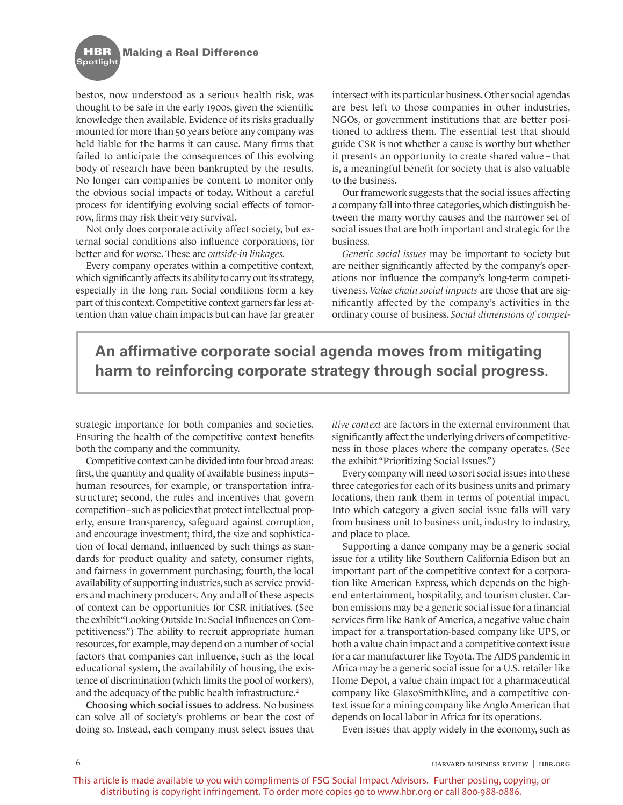bestos, now understood as a serious health risk, was thought to be safe in the early 1900s, given the scientific knowledge then available. Evidence of its risks gradually mounted for more than 50 years before any company was held liable for the harms it can cause. Many firms that failed to anticipate the consequences of this evolving body of research have been bankrupted by the results. No longer can companies be content to monitor only the obvious social impacts of today. Without a careful process for identifying evolving social effects of tomorrow, firms may risk their very survival.

Not only does corporate activity affect society, but external social conditions also influence corporations, for better and for worse. These are *outside-in linkages.*

Every company operates within a competitive context, which significantly affects its ability to carry out its strategy, especially in the long run. Social conditions form a key part of this context.Competitive context garners far less attention than value chain impacts but can have far greater intersect with its particular business. Other social agendas are best left to those companies in other industries, NGOs, or government institutions that are better positioned to address them. The essential test that should guide CSR is not whether a cause is worthy but whether it presents an opportunity to create shared value – that is, a meaningful benefit for society that is also valuable to the business.

Our framework suggests that the social issues affecting a company fall into three categories, which distinguish between the many worthy causes and the narrower set of social issues that are both important and strategic for the business.

*Generic social issues* may be important to society but are neither significantly affected by the company's operations nor influence the company's long-term competitiveness. *Value chain social impacts* are those that are significantly affected by the company's activities in the ordinary course of business. *Social dimensions of compet-*

# **An affirmative corporate social agenda moves from mitigating harm to reinforcing corporate strategy through social progress.**

strategic importance for both companies and societies. Ensuring the health of the competitive context benefits both the company and the community.

Competitive context can be divided into four broad areas: first, the quantity and quality of available business inputs– human resources, for example, or transportation infrastructure; second, the rules and incentives that govern competition–such as policies that protect intellectual property, ensure transparency, safeguard against corruption, and encourage investment; third, the size and sophistication of local demand, influenced by such things as standards for product quality and safety, consumer rights, and fairness in government purchasing; fourth, the local availability of supporting industries, such as service providers and machinery producers. Any and all of these aspects of context can be opportunities for CSR initiatives. (See the exhibit "Looking Outside In: Social Influences on Competitiveness.") The ability to recruit appropriate human resources, for example, may depend on a number of social factors that companies can influence, such as the local educational system, the availability of housing, the existence of discrimination (which limits the pool of workers), and the adequacy of the public health infrastructure.<sup>2</sup>

**Choosing which social issues to address.** No business can solve all of society's problems or bear the cost of doing so. Instead, each company must select issues that *itive context* are factors in the external environment that significantly affect the underlying drivers of competitiveness in those places where the company operates. (See the exhibit "Prioritizing Social Issues.")

Every company will need to sort social issues into these three categories for each of its business units and primary locations, then rank them in terms of potential impact. Into which category a given social issue falls will vary from business unit to business unit, industry to industry, and place to place.

Supporting a dance company may be a generic social issue for a utility like Southern California Edison but an important part of the competitive context for a corporation like American Express, which depends on the highend entertainment, hospitality, and tourism cluster. Carbon emissions may be a generic social issue for a financial services firm like Bank of America, a negative value chain impact for a transportation-based company like UPS, or both a value chain impact and a competitive context issue for a car manufacturer like Toyota. The AIDS pandemic in Africa may be a generic social issue for a U.S. retailer like Home Depot, a value chain impact for a pharmaceutical company like GlaxoSmithKline, and a competitive context issue for a mining company like Anglo American that depends on local labor in Africa for its operations.

Even issues that apply widely in the economy, such as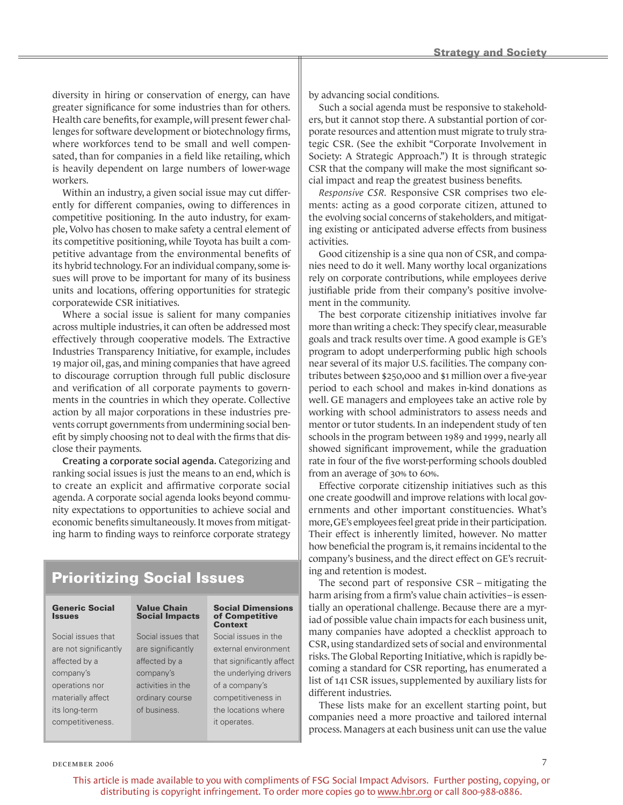diversity in hiring or conservation of energy, can have greater significance for some industries than for others. Health care benefits, for example, will present fewer challenges for software development or biotechnology firms, where workforces tend to be small and well compensated, than for companies in a field like retailing, which is heavily dependent on large numbers of lower-wage workers.

Within an industry, a given social issue may cut differently for different companies, owing to differences in competitive positioning. In the auto industry, for example, Volvo has chosen to make safety a central element of its competitive positioning, while Toyota has built a competitive advantage from the environmental benefits of its hybrid technology. For an individual company, some issues will prove to be important for many of its business units and locations, offering opportunities for strategic corporatewide CSR initiatives.

Where a social issue is salient for many companies across multiple industries, it can often be addressed most effectively through cooperative models. The Extractive Industries Transparency Initiative, for example, includes 19 major oil, gas, and mining companies that have agreed to discourage corruption through full public disclosure and verification of all corporate payments to governments in the countries in which they operate. Collective action by all major corporations in these industries prevents corrupt governments from undermining social benefit by simply choosing not to deal with the firms that disclose their payments.

**Creating a corporate social agenda.** Categorizing and ranking social issues is just the means to an end, which is to create an explicit and affirmative corporate social agenda. A corporate social agenda looks beyond community expectations to opportunities to achieve social and economic benefits simultaneously. It moves from mitigating harm to finding ways to reinforce corporate strategy

# **Prioritizing Social Issues**

#### **Generic Social Issues**

Social issues that are not significantly affected by a company's operations nor materially affect its long-term competitiveness.

#### **Value Chain Social Impacts**

#### Social issues that are significantly affected by a company's activities in the ordinary course of business.

Social issues in the external environment that significantly affect the underlying drivers of a company's competitiveness in the locations where it operates.

**Social Dimensions of Competitive Context**

by advancing social conditions.

Such a social agenda must be responsive to stakeholders, but it cannot stop there. A substantial portion of corporate resources and attention must migrate to truly strategic CSR. (See the exhibit "Corporate Involvement in Society: A Strategic Approach.") It is through strategic CSR that the company will make the most significant social impact and reap the greatest business benefits.

*Responsive CSR.* Responsive CSR comprises two elements: acting as a good corporate citizen, attuned to the evolving social concerns of stakeholders, and mitigating existing or anticipated adverse effects from business activities.

Good citizenship is a sine qua non of CSR, and companies need to do it well. Many worthy local organizations rely on corporate contributions, while employees derive justifiable pride from their company's positive involvement in the community.

The best corporate citizenship initiatives involve far more than writing a check: They specify clear, measurable goals and track results over time. A good example is GE's program to adopt underperforming public high schools near several of its major U.S. facilities. The company contributes between \$250,000 and \$1 million over a five-year period to each school and makes in-kind donations as well. GE managers and employees take an active role by working with school administrators to assess needs and mentor or tutor students. In an independent study of ten schools in the program between 1989 and 1999, nearly all showed significant improvement, while the graduation rate in four of the five worst-performing schools doubled from an average of 30% to 60%.

Effective corporate citizenship initiatives such as this one create goodwill and improve relations with local governments and other important constituencies. What's more,GE's employees feel great pride in their participation. Their effect is inherently limited, however. No matter how beneficial the program is, it remains incidental to the company's business, and the direct effect on GE's recruiting and retention is modest.

The second part of responsive CSR – mitigating the harm arising from a firm's value chain activities–is essentially an operational challenge. Because there are a myriad of possible value chain impacts for each business unit, many companies have adopted a checklist approach to CSR, using standardized sets of social and environmental risks. The Global Reporting Initiative, which is rapidly becoming a standard for CSR reporting, has enumerated a list of 141 CSR issues, supplemented by auxiliary lists for different industries.

These lists make for an excellent starting point, but companies need a more proactive and tailored internal process. Managers at each business unit can use the value

DECEMBER 2006 7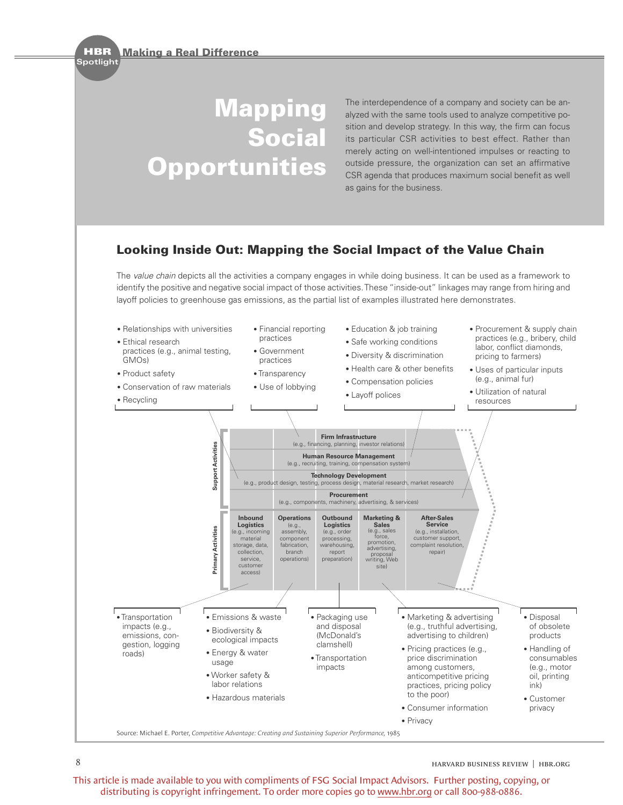# **Mapping Social Opportunities**

The interdependence of a company and society can be analyzed with the same tools used to analyze competitive position and develop strategy. In this way, the firm can focus its particular CSR activities to best effect. Rather than merely acting on well-intentioned impulses or reacting to outside pressure, the organization can set an affirmative CSR agenda that produces maximum social benefit as well as gains for the business.

## **Looking Inside Out: Mapping the Social Impact of the Value Chain**

The value chain depicts all the activities a company engages in while doing business. It can be used as a framework to identify the positive and negative social impact of those activities. These "inside-out" linkages may range from hiring and layoff policies to greenhouse gas emissions, as the partial list of examples illustrated here demonstrates.



8 **8 harvard business review | hbr.org business review | hbr.org business review | hbr.org**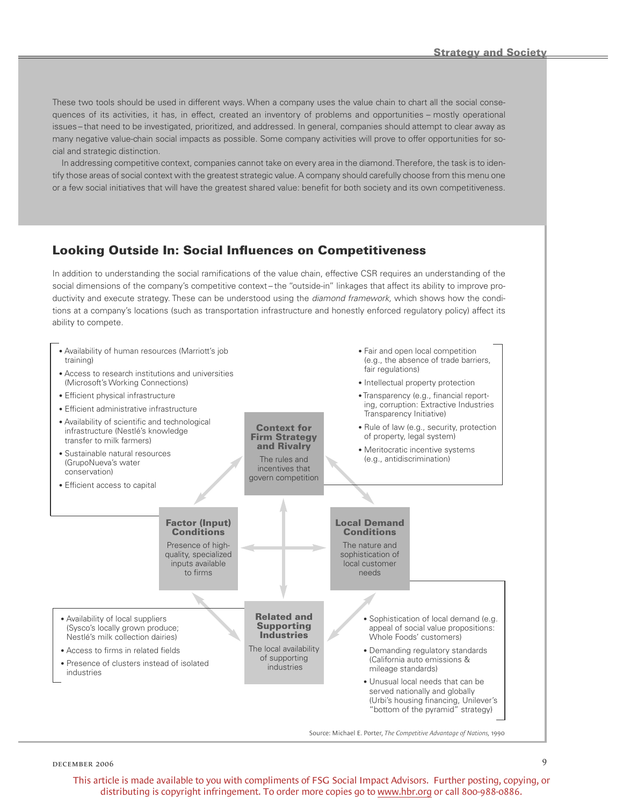These two tools should be used in different ways. When a company uses the value chain to chart all the social consequences of its activities, it has, in effect, created an inventory of problems and opportunities – mostly operational issues – that need to be investigated, prioritized, and addressed. In general, companies should attempt to clear away as many negative value-chain social impacts as possible. Some company activities will prove to offer opportunities for social and strategic distinction.

In addressing competitive context, companies cannot take on every area in the diamond. Therefore, the task is to identify those areas of social context with the greatest strategic value. A company should carefully choose from this menu one or a few social initiatives that will have the greatest shared value: benefit for both society and its own competitiveness.

#### **Looking Outside In: Social Influences on Competitiveness**

In addition to understanding the social ramifications of the value chain, effective CSR requires an understanding of the social dimensions of the company's competitive context – the "outside-in" linkages that affect its ability to improve productivity and execute strategy. These can be understood using the *diamond framework*, which shows how the conditions at a company's locations (such as transportation infrastructure and honestly enforced regulatory policy) affect its ability to compete.



december 2006 9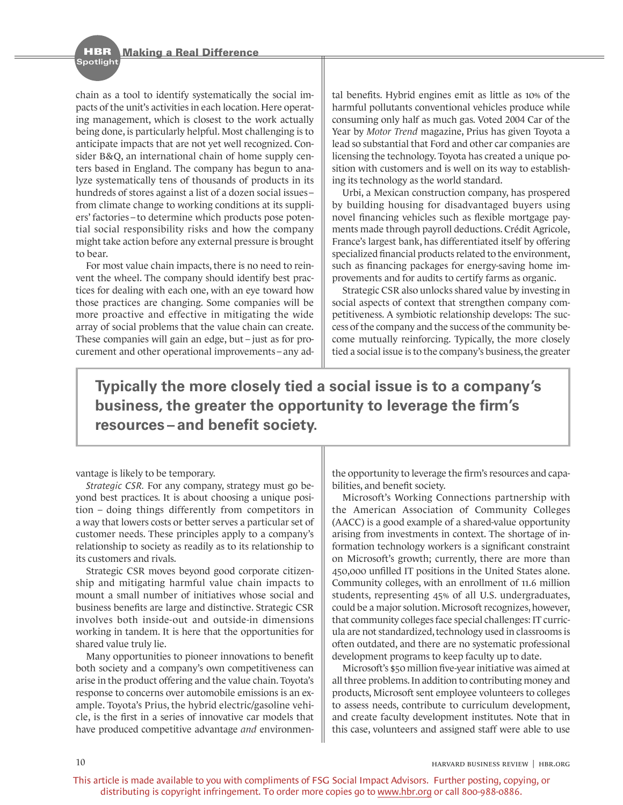chain as a tool to identify systematically the social impacts of the unit's activities in each location. Here operating management, which is closest to the work actually being done, is particularly helpful. Most challenging is to anticipate impacts that are not yet well recognized. Consider B&Q, an international chain of home supply centers based in England. The company has begun to analyze systematically tens of thousands of products in its hundreds of stores against a list of a dozen social issues– from climate change to working conditions at its suppliers' factories – to determine which products pose potential social responsibility risks and how the company might take action before any external pressure is brought to bear.

For most value chain impacts, there is no need to reinvent the wheel. The company should identify best practices for dealing with each one, with an eye toward how those practices are changing. Some companies will be more proactive and effective in mitigating the wide array of social problems that the value chain can create. These companies will gain an edge, but – just as for procurement and other operational improvements – any adtal benefits. Hybrid engines emit as little as 10% of the harmful pollutants conventional vehicles produce while consuming only half as much gas. Voted 2004 Car of the Year by *Motor Trend* magazine, Prius has given Toyota a lead so substantial that Ford and other car companies are licensing the technology. Toyota has created a unique position with customers and is well on its way to establishing its technology as the world standard.

Urbi, a Mexican construction company, has prospered by building housing for disadvantaged buyers using novel financing vehicles such as flexible mortgage payments made through payroll deductions. Crédit Agricole, France's largest bank, has differentiated itself by offering specialized financial products related to the environment, such as financing packages for energy-saving home improvements and for audits to certify farms as organic.

Strategic CSR also unlocks shared value by investing in social aspects of context that strengthen company competitiveness. A symbiotic relationship develops: The success of the company and the success of the community become mutually reinforcing. Typically, the more closely tied a social issue is to the company's business, the greater

**Typically the more closely tied a social issue is to a company's business, the greater the opportunity to leverage the firm's resources – and benefit society.**

vantage is likely to be temporary.

*Strategic CSR.* For any company, strategy must go beyond best practices. It is about choosing a unique position – doing things differently from competitors in a way that lowers costs or better serves a particular set of customer needs. These principles apply to a company's relationship to society as readily as to its relationship to its customers and rivals.

Strategic CSR moves beyond good corporate citizenship and mitigating harmful value chain impacts to mount a small number of initiatives whose social and business benefits are large and distinctive. Strategic CSR involves both inside-out and outside-in dimensions working in tandem. It is here that the opportunities for shared value truly lie.

Many opportunities to pioneer innovations to benefit both society and a company's own competitiveness can arise in the product offering and the value chain. Toyota's response to concerns over automobile emissions is an example. Toyota's Prius, the hybrid electric/gasoline vehicle, is the first in a series of innovative car models that have produced competitive advantage *and* environmenthe opportunity to leverage the firm's resources and capabilities, and benefit society.

Microsoft's Working Connections partnership with the American Association of Community Colleges (AACC) is a good example of a shared-value opportunity arising from investments in context. The shortage of information technology workers is a significant constraint on Microsoft's growth; currently, there are more than 450,000 unfilled IT positions in the United States alone. Community colleges, with an enrollment of 11.6 million students, representing 45% of all U.S. undergraduates, could be a major solution. Microsoft recognizes, however, that community colleges face special challenges: IT curricula are not standardized, technology used in classrooms is often outdated, and there are no systematic professional development programs to keep faculty up to date.

Microsoft's \$50 million five-year initiative was aimed at all three problems. In addition to contributing money and products, Microsoft sent employee volunteers to colleges to assess needs, contribute to curriculum development, and create faculty development institutes. Note that in this case, volunteers and assigned staff were able to use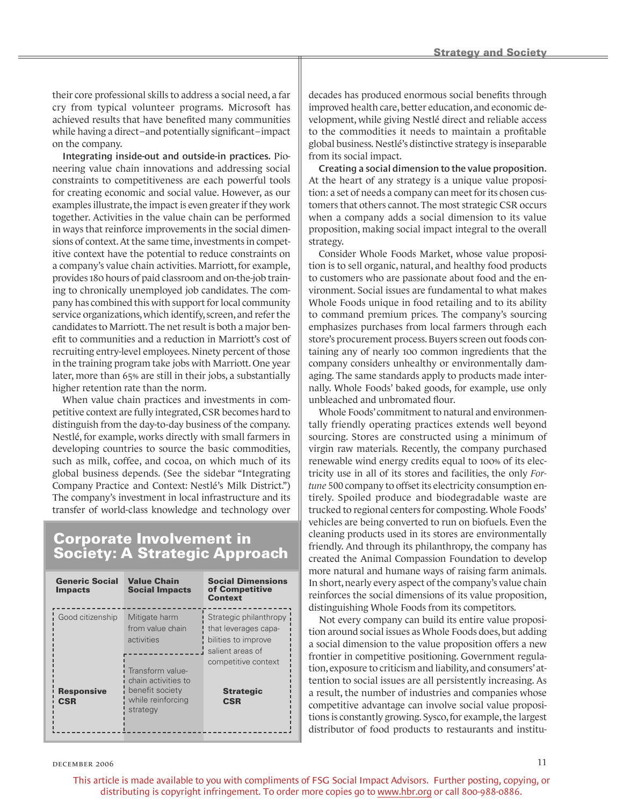their core professional skills to address a social need, a far cry from typical volunteer programs. Microsoft has achieved results that have benefited many communities while having a direct–and potentially significant–impact on the company.

**Integrating inside-out and outside-in practices.** Pioneering value chain innovations and addressing social constraints to competitiveness are each powerful tools for creating economic and social value. However, as our examples illustrate, the impact is even greater if they work together. Activities in the value chain can be performed in ways that reinforce improvements in the social dimensions of context. At the same time, investments in competitive context have the potential to reduce constraints on a company's value chain activities. Marriott, for example, provides 180 hours of paid classroom and on-the-job training to chronically unemployed job candidates. The company has combined this with support for local community service organizations, which identify, screen, and refer the candidates to Marriott. The net result is both a major benefit to communities and a reduction in Marriott's cost of recruiting entry-level employees. Ninety percent of those in the training program take jobs with Marriott. One year later, more than 65% are still in their jobs, a substantially higher retention rate than the norm.

When value chain practices and investments in competitive context are fully integrated, CSR becomes hard to distinguish from the day-to-day business of the company. Nestlé, for example, works directly with small farmers in developing countries to source the basic commodities, such as milk, coffee, and cocoa, on which much of its global business depends. (See the sidebar "Integrating Company Practice and Context: Nestlé's Milk District.") The company's investment in local infrastructure and its transfer of world-class knowledge and technology over

### **Corporate Involvement in Society: A Strategic Approach**

| <b>Generic Social</b><br><b>Impacts</b> | <b>Value Chain</b><br><b>Social Impacts</b>                                                 | <b>Social Dimensions</b><br>of Competitive<br><b>Context</b>                              |
|-----------------------------------------|---------------------------------------------------------------------------------------------|-------------------------------------------------------------------------------------------|
| Good citizenship                        | Mitigate harm<br>from value chain<br>activities                                             | Strategic philanthropy<br>that leverages capa-<br>bilities to improve<br>salient areas of |
| <b>Responsive</b><br><b>CSR</b>         | Transform value-<br>chain activities to<br>benefit society<br>while reinforcing<br>strategy | competitive context<br><b>Strategic</b><br>CSR                                            |

decades has produced enormous social benefits through improved health care, better education, and economic development, while giving Nestlé direct and reliable access to the commodities it needs to maintain a profitable global business. Nestlé's distinctive strategy is inseparable from its social impact.

**Creating a social dimension to the value proposition.** At the heart of any strategy is a unique value proposition: a set of needs a company can meet for its chosen customers that others cannot. The most strategic CSR occurs when a company adds a social dimension to its value proposition, making social impact integral to the overall strategy.

Consider Whole Foods Market, whose value proposition is to sell organic, natural, and healthy food products to customers who are passionate about food and the environment. Social issues are fundamental to what makes Whole Foods unique in food retailing and to its ability to command premium prices. The company's sourcing emphasizes purchases from local farmers through each store's procurement process. Buyers screen out foods containing any of nearly 100 common ingredients that the company considers unhealthy or environmentally damaging. The same standards apply to products made internally. Whole Foods' baked goods, for example, use only unbleached and unbromated flour.

Whole Foods'commitment to natural and environmentally friendly operating practices extends well beyond sourcing. Stores are constructed using a minimum of virgin raw materials. Recently, the company purchased renewable wind energy credits equal to 100% of its electricity use in all of its stores and facilities, the only *Fortune* 500 company to offset its electricity consumption entirely. Spoiled produce and biodegradable waste are trucked to regional centers for composting. Whole Foods' vehicles are being converted to run on biofuels. Even the cleaning products used in its stores are environmentally friendly. And through its philanthropy, the company has created the Animal Compassion Foundation to develop more natural and humane ways of raising farm animals. In short, nearly every aspect of the company's value chain reinforces the social dimensions of its value proposition, distinguishing Whole Foods from its competitors.

Not every company can build its entire value proposition around social issues as Whole Foods does, but adding a social dimension to the value proposition offers a new frontier in competitive positioning. Government regulation, exposure to criticism and liability, and consumers'attention to social issues are all persistently increasing. As a result, the number of industries and companies whose competitive advantage can involve social value propositions is constantly growing. Sysco, for example, the largest distributor of food products to restaurants and institu-

DECEMBER 2006 11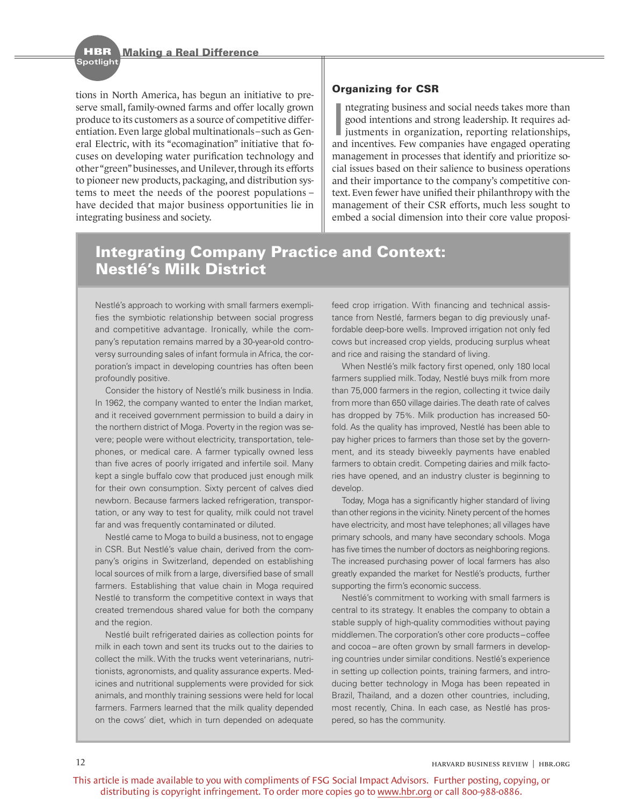tions in North America, has begun an initiative to preserve small, family-owned farms and offer locally grown produce to its customers as a source of competitive differentiation. Even large global multinationals–such as General Electric, with its "ecomagination" initiative that focuses on developing water purification technology and other "green"businesses, and Unilever, through its efforts to pioneer new products, packaging, and distribution systems to meet the needs of the poorest populations – have decided that major business opportunities lie in integrating business and society.

#### **Organizing for CSR**

I ntegrating business and social needs takes more than good intentions and strong leadership. It requires adjustments in organization, reporting relationships, and incentives. Few companies have engaged operating management in processes that identify and prioritize social issues based on their salience to business operations and their importance to the company's competitive context. Even fewer have unified their philanthropy with the management of their CSR efforts, much less sought to embed a social dimension into their core value proposi-

## **Integrating Company Practice and Context: Nestlé's Milk District**

Nestlé's approach to working with small farmers exemplifies the symbiotic relationship between social progress and competitive advantage. Ironically, while the company's reputation remains marred by a 30-year-old controversy surrounding sales of infant formula in Africa, the corporation's impact in developing countries has often been profoundly positive.

Consider the history of Nestlé's milk business in India. In 1962, the company wanted to enter the Indian market, and it received government permission to build a dairy in the northern district of Moga. Poverty in the region was severe; people were without electricity, transportation, telephones, or medical care. A farmer typically owned less than five acres of poorly irrigated and infertile soil. Many kept a single buffalo cow that produced just enough milk for their own consumption. Sixty percent of calves died newborn. Because farmers lacked refrigeration, transportation, or any way to test for quality, milk could not travel far and was frequently contaminated or diluted.

Nestlé came to Moga to build a business, not to engage in CSR. But Nestlé's value chain, derived from the company's origins in Switzerland, depended on establishing local sources of milk from a large, diversified base of small farmers. Establishing that value chain in Moga required Nestlé to transform the competitive context in ways that created tremendous shared value for both the company and the region.

Nestlé built refrigerated dairies as collection points for milk in each town and sent its trucks out to the dairies to collect the milk. With the trucks went veterinarians, nutritionists, agronomists, and quality assurance experts. Medicines and nutritional supplements were provided for sick animals, and monthly training sessions were held for local farmers. Farmers learned that the milk quality depended on the cows' diet, which in turn depended on adequate

feed crop irrigation. With financing and technical assistance from Nestlé, farmers began to dig previously unaffordable deep-bore wells. Improved irrigation not only fed cows but increased crop yields, producing surplus wheat and rice and raising the standard of living.

When Nestlé's milk factory first opened, only 180 local farmers supplied milk. Today, Nestlé buys milk from more than 75,000 farmers in the region, collecting it twice daily from more than 650 village dairies. The death rate of calves has dropped by 75%. Milk production has increased 50 fold. As the quality has improved, Nestlé has been able to pay higher prices to farmers than those set by the government, and its steady biweekly payments have enabled farmers to obtain credit. Competing dairies and milk factories have opened, and an industry cluster is beginning to develop.

Today, Moga has a significantly higher standard of living than other regions in the vicinity. Ninety percent of the homes have electricity, and most have telephones; all villages have primary schools, and many have secondary schools. Moga has five times the number of doctors as neighboring regions. The increased purchasing power of local farmers has also greatly expanded the market for Nestlé's products, further supporting the firm's economic success.

Nestlé's commitment to working with small farmers is central to its strategy. It enables the company to obtain a stable supply of high-quality commodities without paying middlemen. The corporation's other core products–coffee and cocoa – are often grown by small farmers in developing countries under similar conditions. Nestlé's experience in setting up collection points, training farmers, and introducing better technology in Moga has been repeated in Brazil, Thailand, and a dozen other countries, including, most recently, China. In each case, as Nestlé has prospered, so has the community.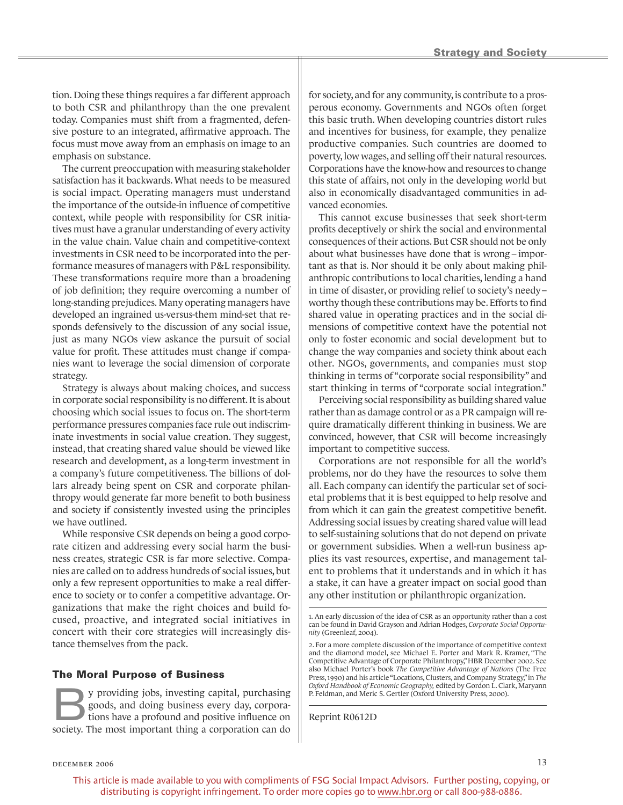tion. Doing these things requires a far different approach to both CSR and philanthropy than the one prevalent today. Companies must shift from a fragmented, defensive posture to an integrated, affirmative approach. The focus must move away from an emphasis on image to an emphasis on substance.

The current preoccupation with measuring stakeholder satisfaction has it backwards. What needs to be measured is social impact. Operating managers must understand the importance of the outside-in influence of competitive context, while people with responsibility for CSR initiatives must have a granular understanding of every activity in the value chain. Value chain and competitive-context investments in CSR need to be incorporated into the performance measures of managers with P&L responsibility. These transformations require more than a broadening of job definition; they require overcoming a number of long-standing prejudices. Many operating managers have developed an ingrained us-versus-them mind-set that responds defensively to the discussion of any social issue, just as many NGOs view askance the pursuit of social value for profit. These attitudes must change if companies want to leverage the social dimension of corporate strategy.

Strategy is always about making choices, and success in corporate social responsibility is no different. It is about choosing which social issues to focus on. The short-term performance pressures companies face rule out indiscriminate investments in social value creation. They suggest, instead, that creating shared value should be viewed like research and development, as a long-term investment in a company's future competitiveness. The billions of dollars already being spent on CSR and corporate philanthropy would generate far more benefit to both business and society if consistently invested using the principles we have outlined.

While responsive CSR depends on being a good corporate citizen and addressing every social harm the business creates, strategic CSR is far more selective. Companies are called on to address hundreds of social issues, but only a few represent opportunities to make a real difference to society or to confer a competitive advantage. Organizations that make the right choices and build focused, proactive, and integrated social initiatives in concert with their core strategies will increasingly distance themselves from the pack.

#### **The Moral Purpose of Business**

y providing jobs, investing capital, purchasing goods, and doing business every day, corporations have a profound and positive influence on society. The most important thing a corporation can do

for society, and for any community, is contribute to a prosperous economy. Governments and NGOs often forget this basic truth. When developing countries distort rules and incentives for business, for example, they penalize productive companies. Such countries are doomed to poverty, low wages, and selling off their natural resources. Corporations have the know-how and resources to change this state of affairs, not only in the developing world but also in economically disadvantaged communities in advanced economies.

This cannot excuse businesses that seek short-term profits deceptively or shirk the social and environmental consequences of their actions. But CSR should not be only about what businesses have done that is wrong – important as that is. Nor should it be only about making philanthropic contributions to local charities, lending a hand in time of disaster, or providing relief to society's needy– worthy though these contributions may be. Efforts to find shared value in operating practices and in the social dimensions of competitive context have the potential not only to foster economic and social development but to change the way companies and society think about each other. NGOs, governments, and companies must stop thinking in terms of "corporate social responsibility" and start thinking in terms of "corporate social integration."

Perceiving social responsibility as building shared value rather than as damage control or as a PR campaign will require dramatically different thinking in business. We are convinced, however, that CSR will become increasingly important to competitive success.

Corporations are not responsible for all the world's problems, nor do they have the resources to solve them all. Each company can identify the particular set of societal problems that it is best equipped to help resolve and from which it can gain the greatest competitive benefit. Addressing social issues by creating shared value will lead to self-sustaining solutions that do not depend on private or government subsidies. When a well-run business applies its vast resources, expertise, and management talent to problems that it understands and in which it has a stake, it can have a greater impact on social good than any other institution or philanthropic organization.

Reprint R0612D

<sup>1.</sup> An early discussion of the idea of CSR as an opportunity rather than a cost can be found in David Grayson and Adrian Hodges, *Corporate Social Opportunity* (Greenleaf, 2004).

<sup>2.</sup> For a more complete discussion of the importance of competitive context and the diamond model, see Michael E. Porter and Mark R. Kramer, "The Competitive Advantage of Corporate Philanthropy,"HBR December 2002. See also Michael Porter's book *The Competitive Advantage of Nations* (The Free Press, 1990) and his article "Locations, Clusters, and Company Strategy,"in *The Oxford Handbook of Economic Geography,* edited by Gordon L. Clark, Maryann P. Feldman, and Meric S. Gertler (Oxford University Press, 2000).